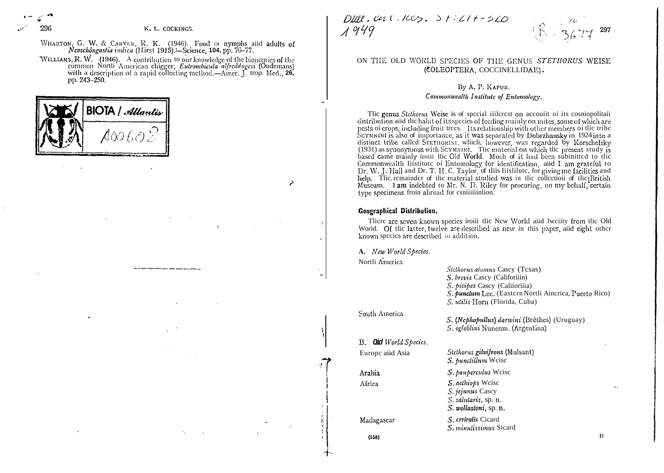296

WHARTON, G. W. & CARVER, R. K. (1946). Food of nymphs aiid adults of Neoschöngastia indica (Hirst 1915).- Science, 104, pp. 76-77.

WILLIAMS, R. W. (1946). A contribution to our knowledge of the bionomics of the common North American chigger, *Eutrombicula alfreddugesi* (Oudemans) with a description of a rapid collecting method.—Amer. J. trop. Med., 26, pp. 243-250.



 $DIII.$   $CUT. 7C5. 37.277-570$  $1949$ 



## ON THE OLD WORLD SPECIES OF THE GENUS STETHORUS WEISE (COLEOPTERA, COCCINELLIDAE).

# By A. P. KAPUR.

## Commonwealth Institute of Entomology.

Tlic genus Stethorus Weise is of special iiilcrest on accouiit of its cosniopolitaii distribution aiid the habit of its species of feeding mainly on mites, some of which are pests of crops, including fruit trees. Its relationship with other members of the tribe SCYMNINI is also of importance, as it was separated by Dobrzhansky in 1924 into a distinct tribe called STETHORINI, which, however, was regarded by Korschefsky (1931) as synonymous with SCYMNINI. The material on which the present study is based came mainly froiii Ilic Old World. Much of it had been subinitted to tlic Commonwealth I istitute of Entomology for identification, aid I am grateful to<br>Dr. W. J. Hall and Dr. T. H. C. Taylor, of this Hislilute, for giving me facilities and help. The remainder of the material studied was in the collection of the British Museum. 1 am indebted to Mr. N. D. Riley for procuring, on my behalf, certain type specimens froin abroad for csniiiiinlion.

### Geographical Distribution.

Tlicre are seven known species íroiii tlic New World aiid lweiity from tlic Old Worid. Of tlic latter, twelve are described as new in tliis paper, aiid eight other known species are described iii addition.

A. New World Species.

Nortli America

South America

B. Oid World Species.

Europe aiid Asia

 $\mathcal{L}$ 

Stelhorus atomus Cascy (Tesas) S. brevis Cascy (Califoriiin) S. picipes Cascy (Califoriiia) S. punctum Lec. (Eastern Nortli Aincrica, Puerto Rico) S. utilis Horn (Florida, Cuba)

S. (Nephopullus) darwini (Brèthes) (Uruguay) S. ogloblini Nunenm. (Argentina)

Stethorus gilvifrons (Mulsant)

S. punctillum Weise

S. pauperculus Weise S. aelhiops Weise S. jejunus Cascy S. salutaris, sp. n. S. wollastoni, sp. n.

S. crriralis Cicard S. minutissimus Sicard

 $(558)$ 

Madagascar

Arabia

Africa

 $H$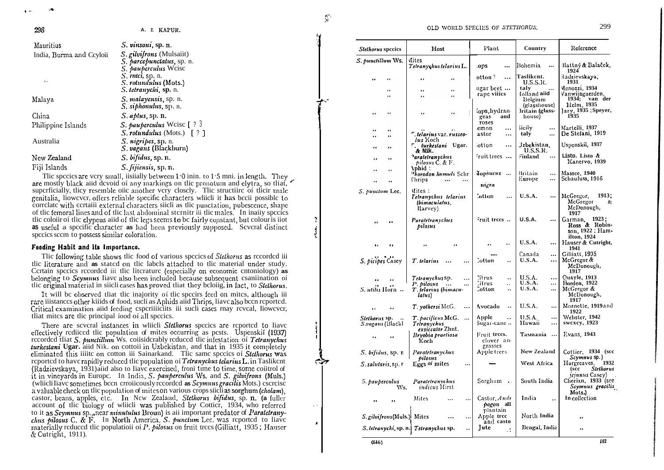| S. vinsoni, sp. n.                                                        |
|---------------------------------------------------------------------------|
| <i>S. gilvifrons</i> (Mulsaiit)<br>S. parcepunctatus, sp. n.              |
| S. pauperculus Weise                                                      |
| S. rntci, sp. n.<br><i>S. rotundulus</i> (Mots.)<br>S. tetranychi, sp. n. |
| S. malayensis, sp. n.<br>S. siphonulus, sp. n.                            |
| <i>S. aplus</i> , sp. n.                                                  |
| S. pauperculus Weise $[ ? 3$                                              |
| $S.$ rotundulus (Mots.) [ ? ]                                             |
| S. nigripes, sp. n.<br>S. vagans (Blackburn)                              |
| S. bifidus, sp. n.                                                        |
| S. fijiensis, sp. n.                                                      |
|                                                                           |

The species are very small, iisiially between 1.0 inin. to 1.5 mni. in length. They are mostly black aiid devoid of any markings on the pronotum and elytra, so that, superficially, they resemble offer another very closely. The structure of their male genitalia. liowever, offers reliable specific characters which it has been possible to correlate with certaili external characters silich as the punctation, pubescence, shape of the fernoral lines and of the last abdominal sternitre iii the males. In inality species the coloiir of the clypeus aid of the legs seems to be fairly constant, but colour is jot as useful a specific character as had been previously supposed. Several distinct species seem to possess similar coloration.

#### Feeding Habit and its Importance.

The following table shows the food of various species of *Stethorus* as recorded iii tlic literature and as stated on tlic labels attached to tlic material under study. Certain species recorded iii tlic literature (especially on economic entoniology) as belonging to Seymnus liave also been included because subsequent esaniination of tlic original material in siiclicases has proved that they beloiig, in fact, to *Stelliorus*.

It will be observed that the inajority of the specirs feed on mites, although iii rare iiistances other kiiids of food, such as Aphids aid Thrips, liave also been reported. Critical examination aiid feeding esperiiiiciits iii sucli cases rnay reveal, liowever, tliat mites are tlic principal food of all species.

There are several instances in which Stethorus species are reported to have effectively rediced the population of mites occurring as pests. Uspenskil (1937) recorded that S. punctillum Ws. considerably reduced the infestation of Tetranychus turkestani Ugar, aiid Nik. on cottoii in Uzbekistan, and that in 1935 it completely eliminated this iiiite on cotton iii Sainarkand. The same species of *Stelliorus* was reported to have rapidly reduced the population of Tetranychus telarius L. in Taslikent (Radzievskaya, 1931) aiid also to Iiave exercised, froni time to time, some coiitrol of it in vineyards in Europe. In India, S. pauperculus Ws. and S. gilvifrons (Muls.) (while ill iave sometimes been cronicously recorded as Scymus gracilis Mots.) escreise a valuable check on the population of mites on various crops sitelias sorghum (cholam). castor, beans, apples, etc. In New Zealand, Stethorus bifidus, sp. n. (a fuller account of the biology of which was published by Cottier, 1934, who referred to it as Seymuns sp., near minutulus Broun) is all important predator of *Paratetrany*clus pilosus C. & F. In North America, S. punctum Lec. was reported to liave materially reduced the population of  $P$ , *pilosus* on fruit trees (Gilliatt, 1935; Hauser & Cutright, 1911).

 $\frac{1}{2}$ 

 $\sim$   $\lambda$ 

 $\lambda$ 

| <b>Stethorus</b> species               | Host                                                                             | Plant                                        | Country                                                            | Reference                                                                |
|----------------------------------------|----------------------------------------------------------------------------------|----------------------------------------------|--------------------------------------------------------------------|--------------------------------------------------------------------------|
| S. punctillum Ws.                      | Aites<br>Tetranychus telarius L.                                                 | .ops<br>                                     | Bohemia<br>$\ddotsc$                                               | Battný & Balaček,<br>1924                                                |
| <br>.,                                 | .,<br>                                                                           | otton?<br>$\ddotsc$                          | Taslikcnt.                                                         | Radzievskaya,<br>1931                                                    |
| .,<br>.,                               | $\ddot{\phantom{a}}$<br><br>.,                                                   | ugar beet<br>rape viiies                     | U.S.S.R.<br>taly<br>folland <b>aiid</b><br>Belgium<br>(glasshouse) | Menozzi, 1934<br>Vanwijngaerden,<br>1934;<br>van der<br>Helm, 1935       |
| .,<br>                                 | ŧ<br>$\cdot$<br>.,                                                               | lops, hydran-<br>and<br>geas<br>roses        | Iritain (glass-<br>house)                                          | Jary, 1935; Speyer,<br>1935                                              |
| .,<br>,,<br><br>                       | ", telarius var. russeo-                                                         | emon<br><br>astor<br>                        | iicily<br><br>taly<br>$\cdots$                                     | Martelli, 1937<br>De Stefani, 1919                                       |
| <br>.,                                 | <i>lus</i> Koch<br>r. turkestani Ugar.                                           | otton<br>$\cdots$                            | Jzbekistan,                                                        | Uspenskii, 1937                                                          |
| .,                                     | & Nik.<br><sup>9</sup> aralelranychus<br>pilosus C. & F.                         | iruit trees                                  | U.S.S.R.<br>Finland<br>                                            | Listo. Listo &<br>Kanervo, 1939                                          |
| <br><br>                               | <b>Aphid:</b><br>Phorodon humuli Schr<br>Thrips                                  | lopsucus<br>$\ldots$                         | Britain<br><br>Europe<br>                                          | Massee, 1940<br>Schaufuss, 1916                                          |
| S. punctum Lec.                        | Mites:                                                                           | nigra                                        |                                                                    |                                                                          |
|                                        | Telranychus telarius<br>(bimaculatus<br>llarvey)                                 | lotton<br>                                   | <b>U.S.A.</b><br>                                                  | 1913.<br>McGregor,<br>McGregor<br>8:<br>McDonough,<br>1917               |
| ,,                                     | Paraletranychus<br>pilosus                                                       | Fruit trees                                  | <b>U.S.A.</b><br>                                                  | Garman, 1923;<br>Ross & Robin-<br>son, 1922 ; Ham-<br>ilton, 1924        |
| ,,                                     |                                                                                  | $\ddot{\phantom{1}}$<br>                     | <b>U.S.A.</b><br>                                                  | Hauser & Cutright,<br>1941                                               |
| S. picipes Casey                       | T. telarius<br>                                                                  | Cotton<br>٠.                                 | Canada<br>$\ddotsc$<br><b>U.S.A.</b><br>$\cdots$                   | Gilliatt, 1935<br>McGregor &<br>McDonough,<br>1917                       |
| $\ddot{\phantom{0}}$<br>S. utilis Horn | Tetranychus sp.<br><br>P. pilosus<br>$\ddotsc$<br>T. telarius (bimacu-<br>latus) | Titrus<br>٠.<br>Citrus<br>٠.<br>Cotton<br>٠. | U.S.A.<br><br><b>U.S.A.</b><br><br><b>U.S.A.</b><br>               | Quayle, 1913<br>Borden, 1922<br>McGregor &<br>McDonough,<br>1917         |
| <br>٠.                                 | T. yothersi McG.<br>                                                             | Avocado<br>$\ddotsc$                         | U.S.A.<br>                                                         | Moznette, 1919 and<br>1922                                               |
| Stethorus sp.<br>S.vagans (Blackl      | T. pacificus McG.<br>$\cdots$<br>Tetranychus                                     | Apple<br>$\ddot{\phantom{0}}$<br>Sugai cane  | U.S.A.<br><br>Hawaii<br>                                           | Webster, 1942<br>swcxcy, 1923                                            |
| ٠.<br>$\bullet$                        | exsiccator Zhnt.<br>Bryobia praetiosa<br>Koch                                    | Fruit trees.<br>clover and                   | Tasmania<br>$\ddotsc$                                              | Evans, 1943                                                              |
| S. bifidus, sp. n                      | Paratetranychus<br>pilosus                                                       | grasses<br>Apple trees                       | New Zealand                                                        | Cottier, 1934 (see<br>Scymuus sp.)                                       |
| S. salularis, sp. r                    | Eggs of mites<br>                                                                |                                              | West Africa                                                        | Hargreaves,<br>1932<br><b>Stethorus</b><br>(scc<br><i>jejunus</i> Casey) |
| 5. pauperculus<br>Ws.                  | Paratetranychus<br>indicus Hirst                                                 | Sorghum<br>$\ddot{\bullet}$                  | South India                                                        | Cherian, 1933 (see<br>Scymnus gracilis<br>Mots.)                         |
| ,,<br>                                 | Mites<br><br>                                                                    | Castor, Andr<br>pogon all<br>plantain        | India<br>$\ddot{\phantom{1}}$                                      | In collection                                                            |
| S. gilvifrons (Muls.) Mites            | <br>$\ddotsc$                                                                    | Apple tree<br>and casto                      | North India                                                        | .,                                                                       |
|                                        | S. tetranychi, sp. n. Tetranychus sp.<br>٠.                                      | Jute<br>$\ddot{\cdot}$                       | Bengal, India                                                      |                                                                          |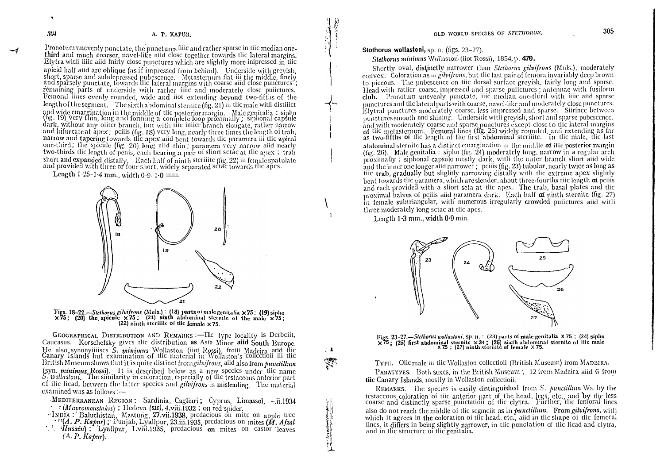Pronotum unevenly punctate, the punctures filic and rather spnrsc in tile median onethird and much coarser, navel-like niid close together towards the lateral margins. Elytra with filic and finally close punctures which are slightly more inipressed in the apical half aiid are oblique (as if impressed from behind). Underside with greyish, short, sparse and subdepressed pubescence. Metasternum flat iii the middle, finely and sparsely punctate, towards the lateral margins with remaining parts of underside with rather fille and moderately close pulictures. Femoral lines evenly rounded, wide and fiot extending beyond two-fifths of the length of the segment. The sixth abdominal sternite (fig. 21) iii the male with distillet and wide emargination in the middle of the posterior margin. Male genitalia : sipho<br>(hg. 19) very thin, long and forming a complete loop proximally; siphonal capsule<br>dark, without any oiiter branch, but with tiie iniier br and bifurcate at apex; peiiis (fig. 18) very long, nearly three times the length of trab, narrow and tapering towards the apex aiid bent towards the paramera iii the apical one-third; the spicule (fig. 20) long niid thin; paramera very narrow aiid nearly two-thirds the length of penis, each bearing a pair of sliort set ac at the apex; trab short and expanded distally. Each half of ninth steriiite (fig. 22) iii female spatulate and provided with three or four short, widely separated set as two ards the apes.

Length 1-25-1-4 mm., width  $0.9-1.0$  mm.



Figs. 18-22,—Stethorus gilvifrons (Muls.): (18) parts of male genitalia × 75: (19) sipho  $\times 75$ ; (20) the spicule  $\times 75$ ; (21) sixth abdominal sternite of the male  $\times 75$ ;  $(22)$  ninth steriile of the female  $\times 75$ .

GEOGRAPHICAL DISTRIBUTION AND REMARKS :- The type locality is Derbeiit, Caucasus. Korschefsky gives the distribution as Asia Minor aiid South Europe. He also synonyiiiiscs S. minimus Wollaston (iiot Rossi), froiii Madeira arid the Canary Islands but examination of the material in Wollaston's collection iii the British Museum shows that it is quite distinct from giluifro (syn. *minimus* Rossi). It is described below as a new species under tile name S. wollastoni. The similarity in coloration, especially of the testaceous anterior part of ilic licad, between the latter species and *gibifrons* is misleading. The material examined was as follows :-

MEDITERRANEAN REGION: Sardinia, Cagliari; Cyprus, Limassol, -.ii.1934  $\cdots$  (Mavromoustakis); Hedeva (sic), 4, viii.1932; on red spider.

INDIA: Baluchistan, Mastung, 27.vii.1938, predacious on mite on apple tree · "(A. P. Kapur); Punjab, Lyallpur, 23.iii.1935, predacious on mites (M. Afzal

*Husain*); Lyallpur, Lyiii.1935, predacious on mites on castor leaves  $(A, P, K$ abur).

Stothorus wollastoni, sp. n. (figs. 23-27).

Stethorus minimus Wollaston (iiot Rossi), 1854, p. 470.

Shortly oval, distinctly narrower than Stethorus gilvifrons (Muls.), moderately convex. Coloration as in gilvifrons, but the last pair of femora invariably deep brown to piccous. The pubescence on tiic dorsal surface greyish, fairly long and spnrse. Head with rattier coarse, impressed and sparse pulletures; antennae with fusiform club. Pronotum unevenly punctate, iiic median one-third with filic aild spnrse punctures and the lateral parts with coarse, navel-like and moderately close punctures. Elytral punctures moderately coarse, less impressed and sparse. Siirince between punctures smooth and shimng. Underside with greyish, short and sparse pubescence. and with moderately coarse and sparse punctures except close to tlic lateral margins of tic metasternum. Femoral lines (fig. 25) widely rounded, and extending as far as two-fifths of the length of the first abdominal sterilite. In the male, the last abdominal sternite has a distinct emargination  $\mathbf{m}$  the middle  $\alpha$  ille posterior margin (fig. 26). Male genitalia: sipho (fig. 24) moderately long, narrow in a regular arch proximally; siphonal capsule mostly dark, with the outer branch sliort aiid wide and the inner one longer aiid narrower ; peiiis (fig. 23) tubular, nearly twice as long as tiic trab, gradually but slightly narrowing distally with the extreme apex slightly bent towards the paramera, which are slender, about three-fourths tile length of peilis and each provided with a sliort seta at the apex. The trab, basal plates and the proximal halves of peilis and paramera dark. Each half  $\sigma$  ninth sternite (fig. 27) in female subtriangular, with numerous irregularly crowded puiictures aiid with three moderately long set at the apes.

Length 1.3 mm., width 0.9 min.

 $\gamma$  .



Figs. 23-27.—Stelhorus wollastoni, sp. n. : (23) parts of male genitalia  $X$  75; (24) sipho  $\times$  75; (25) first abdominal sternite  $\times$  34; (26) sixth abdominal sternite of Hic male  $\times$  75; (27) ninth sternite of female

TYPE. Oiic male iii tiic Wollaston collectioii (British Museum) from MADEIRA. PARATYPES. Both sexes, in the British Museum ; 12 from Madeira aiid 6 from tiic Canary Islands, mostly in Wollaston collectioii.

REMARKS. The species is easily distinguished from S. punctillum Ws. by the testaceous coloration of tiic anterior part of the head, legs, etc., and by tlic less coarse and distinctly sparse pulletation of the elytra. Further, the femoral lines also do not reach the middle of the segmeit as in *punctillum*. From *gilvifrons*, with which it agrees in the coloration of the head, etc., and in the shape of the femoral lines, it differs in being slightly narrower, in the punctation of the licad and clytra. and in the structure of the genitalia.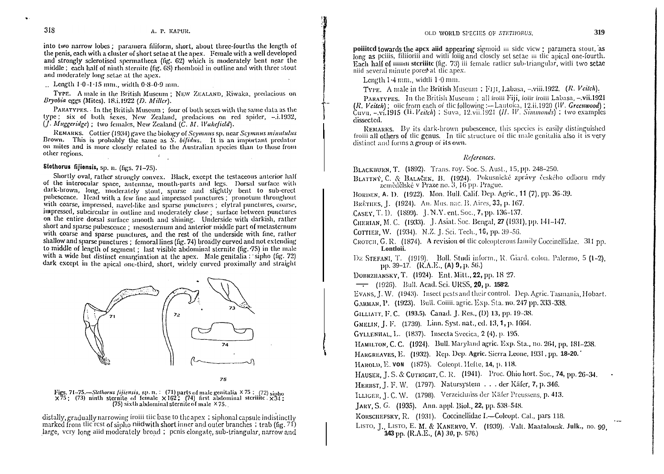into two narrow lobes; paramera filiform, short, about three-fourths the length of the penis, each with a cluster of short set e at the apex. Female with a well developed and strongly sclerotised spermatheea (fig. 62) which is moderately bent near the middle; each half of ninth sternite (fig. 68) rhomboid in outline and with three stout and moderately long setae at the apex.

 $\therefore$  Length 1.0-1.15 mm., width 0.8-0.9 mm.

TYPE. A male in the British Museum: NEW ZEALAND, Riwaka, predacious on Bryobia eggs (Mites). 18.i.1922 (D. Miller).

PARATYPES. In the British Museum : four of both sexes with the same data as the type; six of both sexes, New Zealand, predacious on red spider, -.i.1932,  $(I. Muggeridge)$ : two females, New Zealand  $(C, M, Wakedied)$ .

REMARKS. Cottier (1934) gave the biology of Seymnus sp. near Seymnus minutulus Brown. This is probably the same as S, bifidus. It is an important predator on mites and is more closely related to the Australian species than to those from other regions.

# Stothorus fijionsis, sp. n. (figs. 71-75).

Shortly oval, rather strongly convex. Black, except the testaceous anterior half of the interocular space, antennae, mouth-parts and legs. Dorsal surface with dark-brown, long, moderately stout, sparse and slightly bent to sub-creet pubescence. Head with a few fine and impressed punctures ; pronotum throughout with coarse, impressed, navel-like and sparse punctures; clytral punctures, coarse, impressed, subcircular in outline and moderately close; surface between punctures on the entire dorsal surface smooth and shining. Underside with darkish, rather short and sparse pubescence: mesosternum and anterior middle part of metasternum with coarse and sparse punctures, and the rest of the underside with fine, rather shallow and sparse punctures : femoral lines (fig. 74) broadly curved and not extending to middle of length of segment : last visible abdominal sternite (fig. 75) in the male with a wide but distinct emargination at the apex. Male genitalia : sipho (fig. 72) dark except in the apical one-third, short, widely curved proximally and straight



75

Figs. 71–75.—Stethorus fijiensis, sp. n. : (71) parts of male genitalia  $\times 75$ ; (72) sipho  $\times 75$ ; (73) ninth sternite of female  $\times 162$ ; (74) first abdominal sterilite.  $\times 34$ ; (75) sixth abdominal sternite of male

distally, gradually narrowing froiii tiic base to the apex; siphonal capsule indistinctly marked from the rest of sipho niid with short inner and outer branches: trab (fig. 71) large, very long and moderately broad; penis clongate, sub-triangular, narrow and poliited towards the apex aiid appearing sigmoid iii side view ; paramera stout, as long as peilis, filiforiii and with lolig and closely set set as in the apical one-fourth. Each half of minu sterilite (fig. 73) in female rattier sub-triangular, with two setae niid several minute pores at the apex.

Length 1.4 mm., width 1.0 mm.

TYPE. A male in the British Museum : FIII, Labasa, -viii.1922. (R. Veitch).

PARATYPES. In the British Museum; all froiii Fiji, foiir froiii Labasa, -vii.1921  $(R. Veitch)$ ; oiic from each of the following :—Lautoka, 12.ii.1920 (W. Greenwood); Cuvu, -.vi.1915 (Ii.Veitch); Suva, 12.vii.1921 (H. W. Simmonds); two examples dissected.

REMARKS. By its dark-brown pubescence, this species is easily distinguished froiii all others of the genus. In the structure of the male genitalia also it is very distinct and forms a group of its own.

### References.

BLACKBURN, T. (1892). Trans. roy. Soc. S. Aust., 15, pp. 248-250.

- BLATTNÝ, C. & BALAČEK, B. (1924). Pokusnické zprávy českého odboru rndy zemědělské v Praze no. 3, 16 pp. Prague.
- BORDEN, A. D. (1922). Mon. Bull. Calif. Dep. Agric., 11 (7), pp. 36-39.

BRÈTHES, J. (1924). An. Mus. nac. B. Aires, 33, p. 167.

CASEY, T. D. (1899). J. N.Y. ent. Soc., 7, pp. 136-137.

CHERIAN, M. C. (1933). J. Asiat. Soc. Bengal, 27 (1931), pp. 141-147.

COTTIER, W. (1934). N.Z. J. Sci. Tech., 16, pp. 39-56.

- CROTCH, G. R. (1874). A revision of the coleopterous family Coccinellidae. 311 pp. Lontloii.
- DE STEFANI, T. (1919). Boll. Studi inform., R. Giard. colon. Palermo, 5 (1-2). pp. 39–17. (R.A.E., (A) 9, p. 56.)

DOBRZHANSKY, T. (1924). Ent. Mitt., 22, pp. 18 27.

-- (1926). Bull. Acad. Sci. URSS, 20, p. 1582.

EVANS, J. W. (1943). Insect pests and their control. Dep. Agric. Tasmania, Hobart.

GARMAN, P. (1923). Bull. Coiiii. agric. Exp. Sta. no. 247 pp. 333-338.

GILLIATT, F. C. (193.5). Canad. J. Res., (D) 13, pp. 19-38.

GMELIN, J. F. (1739). Linn. Syst. nat., ed. 13, 1, p. 1664.

GYLLENHAL, L. (1837). Insecta Svecica, 2 (4), p. 195.

HAMILTON, C. C. (1924). Bull. Maryland agric. Exp. Sta., no. 264, pp. 181-238.

HARGREAVES, E. (1932). Rep. Dep. Agric. Sierra Leone, 1931, pp. 18-20.

Накоld, E. von (1875). Colcopt. Hefte, 14, p. 118.

HAUSER, J. S. & CUTRIGHT, C. R. (1941). Proc. Ohio hort. Soc., 74, pp. 26-34.

HERBST, J. F. W. (1797). Natursystem . . . der Käfer, 7, p. 346.

ILLIGER, J. C. W. (1798). Verzeichniss der Käfer Preussens, p. 413.

JARY, S. G. (1935). Ann. appl. Biol., 22, pp. 538-548.

KORSCHEFSKY, R. (1931). Coccinellidae I.-Colcopt. Cal., pars 118.

LISTO, J., LISTO, E. M. & KANERVO, V. (1939). Valt. Maatalousk, Julk., no. 99 143 pp. (R.A.E., (A) 30, p. 576.)